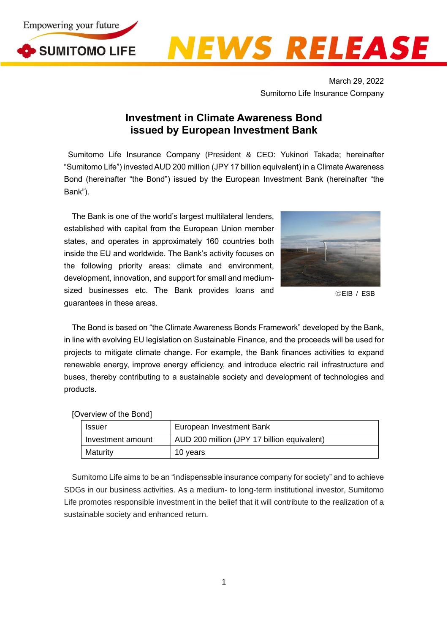

## NEWS RELEASE

March 29, 2022 Sumitomo Life Insurance Company

## **Investment in Climate Awareness Bond issued by European Investment Bank**

Sumitomo Life Insurance Company (President & CEO: Yukinori Takada; hereinafter "Sumitomo Life") invested AUD 200 million (JPY 17 billion equivalent) in a Climate Awareness Bond (hereinafter "the Bond") issued by the European Investment Bank (hereinafter "the Bank").

The Bank is one of the world's largest multilateral lenders, established with capital from the European Union member states, and operates in approximately 160 countries both inside the EU and worldwide. The Bank's activity focuses on the following priority areas: climate and environment, development, innovation, and support for small and mediumsized businesses etc. The Bank provides loans and guarantees in these areas.



○<sup>C</sup> EIB / ESB

The Bond is based on "the Climate Awareness Bonds Framework" developed by the Bank, in line with evolving EU legislation on Sustainable Finance, and the proceeds will be used for projects to mitigate climate change. For example, the Bank finances activities to expand renewable energy, improve energy efficiency, and introduce electric rail infrastructure and buses, thereby contributing to a sustainable society and development of technologies and products.

## [Overview of the Bond]

| Issuer            | European Investment Bank                    |
|-------------------|---------------------------------------------|
| Investment amount | AUD 200 million (JPY 17 billion equivalent) |
| Maturity          | 10 years                                    |

Sumitomo Life aims to be an "indispensable insurance company for society" and to achieve SDGs in our business activities. As a medium- to long-term institutional investor, Sumitomo Life promotes responsible investment in the belief that it will contribute to the realization of a sustainable society and enhanced return.